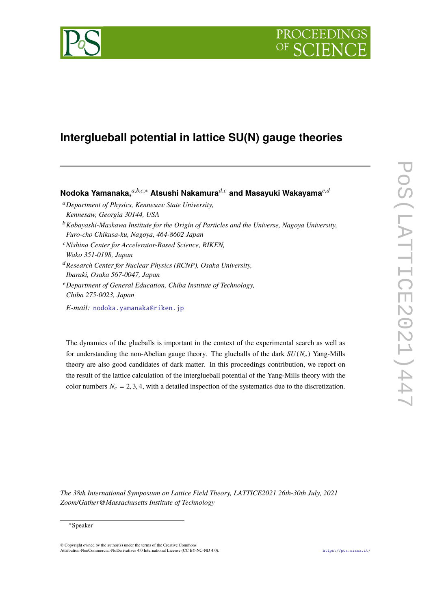

# **PROCEEDI**

## **Interglueball potential in lattice SU(N) gauge theories**

### **Nodoka Yamanaka,***a*,*b*,*c*,<sup>∗</sup> **Atsushi Nakamura***d*,*<sup>c</sup>* **and Masayuki Wakayama***e*,*<sup>d</sup>*

- <sup>a</sup>*Department of Physics, Kennesaw State University, Kennesaw, Georgia 30144, USA*
- <sup>b</sup>*Kobayashi-Maskawa Institute for the Origin of Particles and the Universe, Nagoya University, Furo-cho Chikusa-ku, Nagoya, 464-8602 Japan*
- <sup>c</sup>*Nishina Center for Accelerator-Based Science, RIKEN, Wako 351-0198, Japan*
- <sup>d</sup>*Research Center for Nuclear Physics (RCNP), Osaka University, Ibaraki, Osaka 567-0047, Japan*
- <sup>e</sup>*Department of General Education, Chiba Institute of Technology, Chiba 275-0023, Japan*

*E-mail:* [nodoka.yamanaka@riken.jp](mailto:nodoka.yamanaka@riken.jp)

The dynamics of the glueballs is important in the context of the experimental search as well as for understanding the non-Abelian gauge theory. The glueballs of the dark  $SU(N_c)$  Yang-Mills theory are also good candidates of dark matter. In this proceedings contribution, we report on the result of the lattice calculation of the interglueball potential of the Yang-Mills theory with the color numbers  $N_c = 2, 3, 4$ , with a detailed inspection of the systematics due to the discretization.

*The 38th International Symposium on Lattice Field Theory, LATTICE2021 26th-30th July, 2021 Zoom/Gather@Massachusetts Institute of Technology*

<sup>∗</sup>Speaker

<sup>©</sup> Copyright owned by the author(s) under the terms of the Creative Commons Attribution-NonCommercial-NoDerivatives 4.0 International License (CC BY-NC-ND 4.0). <https://pos.sissa.it/>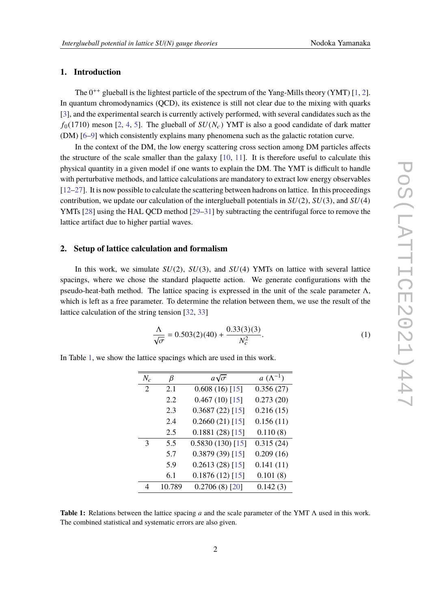#### **1. Introduction**

The  $0^{++}$  glueball is the lightest particle of the spectrum of the Yang-Mills theory (YMT) [\[1,](#page-5-0) [2\]](#page-5-1). In quantum chromodynamics (QCD), its existence is still not clear due to the mixing with quarks [\[3\]](#page-5-2), and the experimental search is currently actively performed, with several candidates such as the  $f_0(1710)$  meson [\[2,](#page-5-1) [4,](#page-5-3) [5\]](#page-5-4). The glueball of  $SU(N_c)$  YMT is also a good candidate of dark matter (DM) [\[6](#page-5-5)[–9\]](#page-5-6) which consistently explains many phenomena such as the galactic rotation curve.

In the context of the DM, the low energy scattering cross section among DM particles affects the structure of the scale smaller than the galaxy [\[10,](#page-5-7) [11\]](#page-5-8). It is therefore useful to calculate this physical quantity in a given model if one wants to explain the DM. The YMT is difficult to handle with perturbative methods, and lattice calculations are mandatory to extract low energy observables [\[12](#page-5-9)[–27\]](#page-6-0). It is now possible to calculate the scattering between hadrons on lattice. In this proceedings contribution, we update our calculation of the interglueball potentials in *SU*(2), *SU*(3), and *SU*(4) YMTs [\[28\]](#page-6-1) using the HAL QCD method [\[29](#page-6-2)[–31\]](#page-6-3) by subtracting the centrifugal force to remove the lattice artifact due to higher partial waves.

#### **2. Setup of lattice calculation and formalism**

In this work, we simulate  $SU(2)$ ,  $SU(3)$ , and  $SU(4)$  YMTs on lattice with several lattice spacings, where we chose the standard plaquette action. We generate configurations with the pseudo-heat-bath method. The lattice spacing is expressed in the unit of the scale parameter  $\Lambda$ , which is left as a free parameter. To determine the relation between them, we use the result of the lattice calculation of the string tension [\[32,](#page-6-4) [33\]](#page-6-5)

$$
\frac{\Lambda}{\sqrt{\sigma}} = 0.503(2)(40) + \frac{0.33(3)(3)}{N_c^2}.
$$
 (1)

<span id="page-1-0"></span>In Table [1,](#page-1-0) we show the lattice spacings which are used in this work.

| $N_c$ | β      | $a\sqrt{\sigma}$   | $a\ (\Lambda^{-1})$ |
|-------|--------|--------------------|---------------------|
| 2     | 2.1    | 0.608(16)[15]      | 0.356(27)           |
|       | 2.2    | $0.467(10)$ [15]   | 0.273(20)           |
|       | 2.3    | $0.3687(22)$ [15]  | 0.216(15)           |
|       | 2.4    | $0.2660(21)$ [15]  | 0.156(11)           |
|       | 2.5    | $0.1881(28)$ [15]  | 0.110(8)            |
| 3     | 5.5    | $0.5830(130)$ [15] | 0.315(24)           |
|       | 5.7    | $0.3879(39)$ [15]  | 0.209(16)           |
|       | 5.9    | 0.2613(28)[15]     | 0.141(11)           |
|       | 6.1    | $0.1876(12)$ [15]  | 0.101(8)            |
| Δ     | 10.789 | $0.2706(8)$ [20]   | 0.142(3)            |

**Table 1:** Relations between the lattice spacing *a* and the scale parameter of the YMT Λ used in this work. The combined statistical and systematic errors are also given.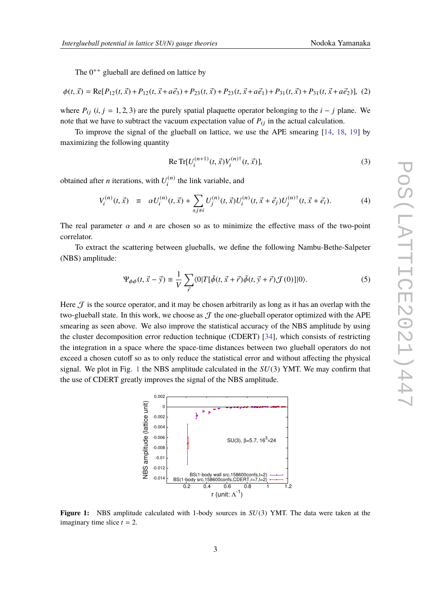The  $0^{++}$  glueball are defined on lattice by

$$
\phi(t, \vec{x}) = \text{Re}[P_{12}(t, \vec{x}) + P_{12}(t, \vec{x} + a\vec{e}_3) + P_{23}(t, \vec{x}) + P_{23}(t, \vec{x} + a\vec{e}_1) + P_{31}(t, \vec{x}) + P_{31}(t, \vec{x} + a\vec{e}_2)], (2)
$$

where  $P_{ii}$  (*i*, *j* = 1, 2, 3) are the purely spatial plaquette operator belonging to the *i* − *j* plane. We note that we have to subtract the vacuum expectation value of  $P_{ij}$  in the actual calculation.

To improve the signal of the glueball on lattice, we use the APE smearing [\[14,](#page-5-12) [18,](#page-5-13) [19\]](#page-5-14) by maximizing the following quantity

Re Tr[
$$
U_i^{(n+1)}(t, \vec{x})V_i^{(n)\dagger}(t, \vec{x})
$$
], (3)

obtained after *n* iterations, with  $U_i^{(n)}$  $t_i^{(n)}$  the link variable, and

$$
V_i^{(n)}(t, \vec{x}) \equiv \alpha U_i^{(n)}(t, \vec{x}) + \sum_{\pm j \neq i} U_j^{(n)}(t, \vec{x}) U_i^{(n)}(t, \vec{x} + \vec{e}_j) U_j^{(n)\dagger}(t, \vec{x} + \vec{e}_i). \tag{4}
$$

The real parameter  $\alpha$  and  $n$  are chosen so as to minimize the effective mass of the two-point correlator.

To extract the scattering between glueballs, we define the following Nambu-Bethe-Salpeter (NBS) amplitude:

<span id="page-2-1"></span>
$$
\Psi_{\phi\phi}(t,\vec{x}-\vec{y}) \equiv \frac{1}{V} \sum_{\vec{r}} \langle 0|T[\tilde{\phi}(t,\vec{x}+\vec{r})\tilde{\phi}(t,\vec{y}+\vec{r})\mathcal{J}(0)]|0\rangle. \tag{5}
$$

Here  $\mathcal J$  is the source operator, and it may be chosen arbitrarily as long as it has an overlap with the two-glueball state. In this work, we choose as  $\mathcal T$  the one-glueball operator optimized with the APE smearing as seen above. We also improve the statistical accuracy of the NBS amplitude by using the cluster decomposition error reduction technique (CDERT) [\[34\]](#page-6-6), which consists of restricting the integration in a space where the space-time distances between two glueball operators do not exceed a chosen cutoff so as to only reduce the statistical error and without affecting the physical signal. We plot in Fig. [1](#page-2-0) the NBS amplitude calculated in the *SU*(3) YMT. We may confirm that the use of CDERT greatly improves the signal of the NBS amplitude.

<span id="page-2-0"></span>

**Figure 1:** NBS amplitude calculated with 1-body sources in *SU*(3) YMT. The data were taken at the imaginary time slice  $t = 2$ .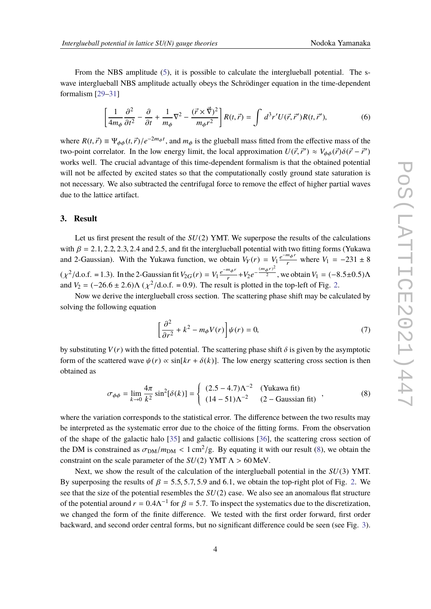From the NBS amplitude [\(5\)](#page-2-1), it is possible to calculate the interglueball potential. The swave interglueball NBS amplitude actually obeys the Schrödinger equation in the time-dependent formalism [\[29–](#page-6-2)[31\]](#page-6-3)

$$
\left[\frac{1}{4m_{\phi}}\frac{\partial^2}{\partial t^2} - \frac{\partial}{\partial t} + \frac{1}{m_{\phi}}\nabla^2 - \frac{(\vec{r} \times \vec{\nabla})^2}{m_{\phi}r^2}\right]R(t,\vec{r}) = \int d^3r' U(\vec{r},\vec{r}')R(t,\vec{r}'),\tag{6}
$$

where  $R(t, \vec{r}) \equiv \Psi_{\phi\phi}(t, \vec{r})/e^{-2m_{\phi}t}$ , and  $m_{\phi}$  is the glueball mass fitted from the effective mass of the two noint correlator. In the law energy limit, the local energy institute  $U(\vec{r}, \vec{s}') \propto V_0(\vec{r})S(\vec{r} - \$ two-point correlator. In the low energy limit, the local approximation  $U(\vec{r}, \vec{r}') \approx V_{\phi\phi}(\vec{r})\delta(\vec{r} - \vec{r}')$ <br>
works well. The expected educations of this time dependent formalism is that the electrical potential works well. The crucial advantage of this time-dependent formalism is that the obtained potential will not be affected by excited states so that the computationally costly ground state saturation is not necessary. We also subtracted the centrifugal force to remove the effect of higher partial waves due to the lattice artifact.

#### **3. Result**

Let us first present the result of the *SU*(2) YMT. We superpose the results of the calculations with  $\beta = 2.1, 2.2, 2.3, 2.4$  and 2.5, and fit the interglueball potential with two fitting forms (Yukawa and 2-Gaussian). With the Yukawa function, we obtain  $V_Y(r) = V_1 \frac{e^{-m_\phi r}}{r}$  where  $V_1 = -231 \pm 8$  $(\chi^2/\text{d.o.f.} = 1.3)$ . In the 2-Gaussian fit  $V_{2G}(r) = V_1 \frac{e^{-m_\phi r}}{r} + V_2 e^{-\frac{(m_\phi r)^2}{2}}$ , we obtain  $V_1 = (-8.5 \pm 0.5) \Lambda$ and  $V_2 = (-26.6 \pm 2.6) \Lambda (\chi^2 / d.o.f. = 0.9)$  $V_2 = (-26.6 \pm 2.6) \Lambda (\chi^2 / d.o.f. = 0.9)$  $V_2 = (-26.6 \pm 2.6) \Lambda (\chi^2 / d.o.f. = 0.9)$ . The result is plotted in the top-left of Fig. 2.

Now we derive the interglueball cross section. The scattering phase shift may be calculated by solving the following equation

$$
\left[\frac{\partial^2}{\partial r^2} + k^2 - m_\phi V(r)\right] \psi(r) = 0,\tag{7}
$$

by substituting  $V(r)$  with the fitted potential. The scattering phase shift  $\delta$  is given by the asymptotic form of the scattered wave  $\psi(r) \propto \sin[kr + \delta(k)]$ . The low energy scattering cross section is then obtained as

<span id="page-3-0"></span>
$$
\sigma_{\phi\phi} = \lim_{k \to 0} \frac{4\pi}{k^2} \sin^2[\delta(k)] = \begin{cases} (2.5 - 4.7)\Lambda^{-2} & \text{(Yukawa fit)}\\ (14 - 51)\Lambda^{-2} & (2 - \text{Gaussian fit}) \end{cases}, \tag{8}
$$

where the variation corresponds to the statistical error. The difference between the two results may be interpreted as the systematic error due to the choice of the fitting forms. From the observation of the shape of the galactic halo [\[35\]](#page-6-7) and galactic collisions [\[36\]](#page-6-8), the scattering cross section of the DM is constrained as  $\sigma_{DM}/m_{DM} < 1 \text{ cm}^2/\text{g}$ . By equating it with our result [\(8\)](#page-3-0), we obtain the constraint on the scale perspected of the *SU(2)* VMT A  $\geq$  60 MeV. constraint on the scale parameter of the  $SU(2)$  YMT  $\Lambda > 60$  MeV.

Next, we show the result of the calculation of the interglueball potential in the *SU*(3) YMT. By superposing the results of  $\beta = 5.5, 5.7, 5.9$  and 6.1, we obtain the top-right plot of Fig. [2.](#page-4-0) We see that the size of the potential resembles the *SU*(2) case. We also see an anomalous flat structure of the potential around  $r = 0.4\Lambda^{-1}$  for  $\beta = 5.7$ . To inspect the systematics due to the discretization, we changed the form of the finite difference. We tested with the first order forward, first order backward, and second order central forms, but no significant difference could be seen (see Fig. [3\)](#page-5-15).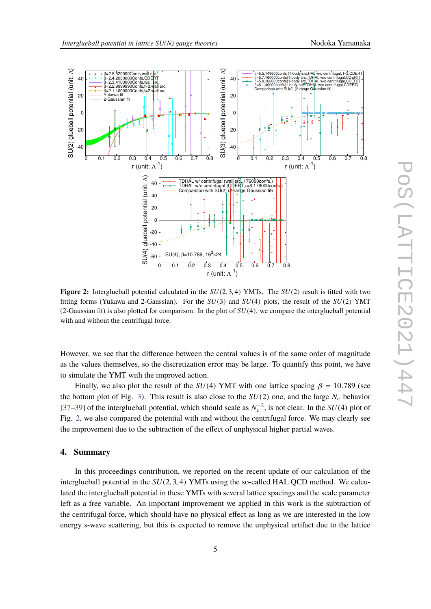<span id="page-4-0"></span>

**Figure 2:** Interglueball potential calculated in the *SU*(2, <sup>3</sup>, <sup>4</sup>) YMTs. The *SU*(2) result is fitted with two fitting forms (Yukawa and 2-Gaussian). For the *SU*(3) and *SU*(4) plots, the result of the *SU*(2) YMT (2-Gaussian fit) is also plotted for comparison. In the plot of *SU*(4), we compare the interglueball potential with and without the centrifugal force.

However, we see that the difference between the central values is of the same order of magnitude as the values themselves, so the discretization error may be large. To quantify this point, we have to simulate the YMT with the improved action.

Finally, we also plot the result of the  $SU(4)$  YMT with one lattice spacing  $\beta = 10.789$  (see the bottom plot of Fig. [3\)](#page-5-15). This result is also close to the  $SU(2)$  one, and the large  $N_c$  behavior [\[37](#page-6-9)[–39\]](#page-6-10) of the interglueball potential, which should scale as  $N_c^{-2}$ , is not clear. In the *SU*(4) plot of Fig. [2,](#page-4-0) we also compared the potential with and without the centrifugal force. We may clearly see the improvement due to the subtraction of the effect of unphysical higher partial waves.

#### **4. Summary**

In this proceedings contribution, we reported on the recent update of our calculation of the interglueball potential in the  $SU(2, 3, 4)$  YMTs using the so-called HAL QCD method. We calculated the interglueball potential in these YMTs with several lattice spacings and the scale parameter left as a free variable. An important improvement we applied in this work is the subtraction of the centrifugal force, which should have no physical effect as long as we are interested in the low energy s-wave scattering, but this is expected to remove the unphysical artifact due to the lattice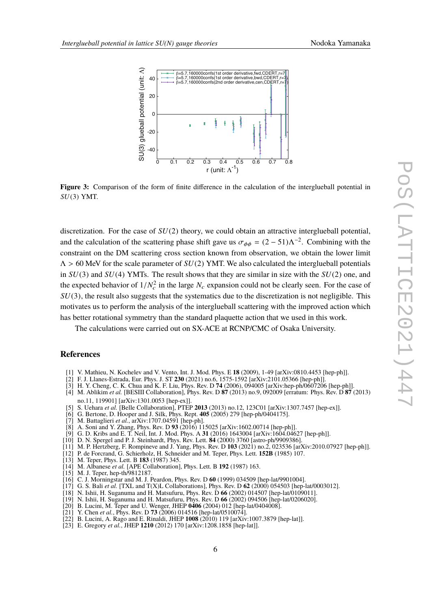<span id="page-5-15"></span>

**Figure 3:** Comparison of the form of finite difference in the calculation of the interglueball potential in *SU*(3) YMT.

discretization. For the case of *SU*(2) theory, we could obtain an attractive interglueball potential, and the calculation of the scattering phase shift gave us  $\sigma_{\phi\phi} = (2 - 51)\Lambda^{-2}$ . Combining with the constraint on the DM sectoring gross section linear from characterize we obtain the lower limit constraint on the DM scattering cross section known from observation, we obtain the lower limit  $\Lambda > 60$  MeV for the scale parameter of  $SU(2)$  YMT. We also calculated the interglueball potentials in *SU*(3) and *SU*(4) YMTs. The result shows that they are similar in size with the *SU*(2) one, and the expected behavior of  $1/N_c^2$  in the large  $N_c$  expansion could not be clearly seen. For the case of  $SU(2)$ , the result also supports that the systematics due to the discretization is not posligible. This *SU*(3), the result also suggests that the systematics due to the discretization is not negligible. This motivates us to perform the analysis of the interglueball scattering with the improved action which has better rotational symmetry than the standard plaquette action that we used in this work.

The calculations were carried out on SX-ACE at RCNP/CMC of Osaka University.

#### **References**

- <span id="page-5-1"></span><span id="page-5-0"></span>[1] V. Mathieu, N. Kochelev and V. Vento, Int. J. Mod. Phys. E **18** (2009), 1-49 [arXiv:0810.4453 [hep-ph]].
- <span id="page-5-2"></span>[2] F. J. Llanes-Estrada, Eur. Phys. J. ST **230** (2021) no.6, 1575-1592 [arXiv:2101.05366 [hep-ph]].
- <span id="page-5-3"></span>[3] H. Y. Cheng, C. K. Chua and K. F. Liu, Phys. Rev. D **74** (2006), 094005 [arXiv:hep-ph/0607206 [hep-ph]].
- [4] M. Ablikim *et al.* [BESIII Collaboration], Phys. Rev. D **87** (2013) no.9, 092009 [erratum: Phys. Rev. D **87** (2013) no.11, 119901] [arXiv:1301.0053 [hep-ex]].
- <span id="page-5-4"></span>[5] S. Uehara *et al.* [Belle Collaboration], PTEP **2013** (2013) no.12, 123C01 [arXiv:1307.7457 [hep-ex]].
- <span id="page-5-5"></span>[6] G. Bertone, D. Hooper and J. Silk, Phys. Rept. **405** (2005) 279 [hep-ph/0404175].
- [7] M. Battaglieri *et al.*, arXiv:1707.04591 [hep-ph].
- [8] A. Soni and Y. Zhang, Phys. Rev. D **93** (2016) 115025 [arXiv:1602.00714 [hep-ph]].
- <span id="page-5-6"></span>[9] G. D. Kribs and E. T. Neil, Int. J. Mod. Phys. A **31** (2016) 1643004 [arXiv:1604.04627 [hep-ph]].
- <span id="page-5-7"></span>[10] D. N. Spergel and P. J. Steinhardt, Phys. Rev. Lett. **84** (2000) 3760 [astro-ph/9909386].
- <span id="page-5-8"></span>[11] M. P. Hertzberg, F. Rompineve and J. Yang, Phys. Rev. D **103** (2021) no.2, 023536 [arXiv:2010.07927 [hep-ph]].
- <span id="page-5-9"></span>[12] P. de Forcrand, G. Schierholz, H. Schneider and M. Teper, Phys. Lett. **152B** (1985) 107.
- [13] M. Teper, Phys. Lett. B **183** (1987) 345.
- <span id="page-5-12"></span>[14] M. Albanese *et al.* [APE Collaboration], Phys. Lett. B **192** (1987) 163.
- <span id="page-5-10"></span> $[15]$  M. J. Teper, hep-th $/9812187$ .
- [16] C. J. Morningstar and M. J. Peardon, Phys. Rev. D **60** (1999) 034509 [hep-lat/9901004].
- <span id="page-5-13"></span>[17] G. S. Bali *et al.* [TXL and T(X)L Collaborations], Phys. Rev. D **62** (2000) 054503 [hep-lat/0003012].
- [18] N. Ishii, H. Suganuma and H. Matsufuru, Phys. Rev. D **66** (2002) 014507 [hep-lat/0109011].
- <span id="page-5-14"></span>[19] N. Ishii, H. Suganuma and H. Matsufuru, Phys. Rev. D **66** (2002) 094506 [hep-lat/0206020].
- <span id="page-5-11"></span>[20] B. Lucini, M. Teper and U. Wenger, JHEP **0406** (2004) 012 [hep-lat/0404008].
- [21] Y. Chen *et al.*, Phys. Rev. D **73** (2006) 014516 [hep-lat/0510074].
- [22] B. Lucini, A. Rago and E. Rinaldi, JHEP **1008** (2010) 119 [arXiv:1007.3879 [hep-lat]].
- [23] E. Gregory *et al.*, JHEP **1210** (2012) 170 [arXiv:1208.1858 [hep-lat]].